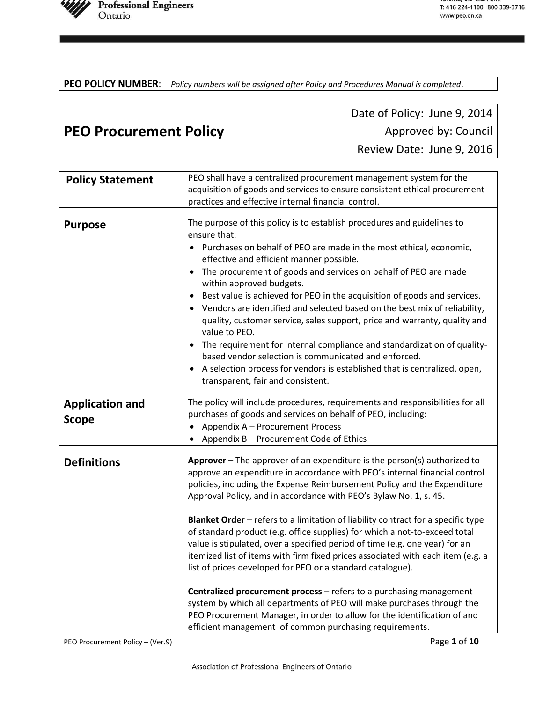

**PEO POLICY NUMBER**: *Policy numbers will be assigned after Policy and Procedures Manual is completed.*

|                               | Date of Policy: June 9, 2014 |
|-------------------------------|------------------------------|
| <b>PEO Procurement Policy</b> | Approved by: Council         |
|                               | Review Date: June 9, 2016    |

| <b>Policy Statement</b>                | PEO shall have a centralized procurement management system for the                                                                                                                                                                                                                                                                                                                                                                                                                                                                                                                                                                                                                                                                                                              |
|----------------------------------------|---------------------------------------------------------------------------------------------------------------------------------------------------------------------------------------------------------------------------------------------------------------------------------------------------------------------------------------------------------------------------------------------------------------------------------------------------------------------------------------------------------------------------------------------------------------------------------------------------------------------------------------------------------------------------------------------------------------------------------------------------------------------------------|
|                                        | acquisition of goods and services to ensure consistent ethical procurement                                                                                                                                                                                                                                                                                                                                                                                                                                                                                                                                                                                                                                                                                                      |
|                                        | practices and effective internal financial control.                                                                                                                                                                                                                                                                                                                                                                                                                                                                                                                                                                                                                                                                                                                             |
| <b>Purpose</b>                         | The purpose of this policy is to establish procedures and guidelines to<br>ensure that:<br>Purchases on behalf of PEO are made in the most ethical, economic,<br>effective and efficient manner possible.<br>The procurement of goods and services on behalf of PEO are made<br>within approved budgets.<br>Best value is achieved for PEO in the acquisition of goods and services.<br>Vendors are identified and selected based on the best mix of reliability,<br>quality, customer service, sales support, price and warranty, quality and<br>value to PEO.<br>The requirement for internal compliance and standardization of quality-<br>based vendor selection is communicated and enforced.<br>A selection process for vendors is established that is centralized, open, |
|                                        | transparent, fair and consistent.                                                                                                                                                                                                                                                                                                                                                                                                                                                                                                                                                                                                                                                                                                                                               |
|                                        |                                                                                                                                                                                                                                                                                                                                                                                                                                                                                                                                                                                                                                                                                                                                                                                 |
| <b>Application and</b><br><b>Scope</b> | The policy will include procedures, requirements and responsibilities for all<br>purchases of goods and services on behalf of PEO, including:<br>Appendix A - Procurement Process<br>Appendix B - Procurement Code of Ethics                                                                                                                                                                                                                                                                                                                                                                                                                                                                                                                                                    |
|                                        |                                                                                                                                                                                                                                                                                                                                                                                                                                                                                                                                                                                                                                                                                                                                                                                 |
| <b>Definitions</b>                     | Approver - The approver of an expenditure is the person(s) authorized to<br>approve an expenditure in accordance with PEO's internal financial control<br>policies, including the Expense Reimbursement Policy and the Expenditure<br>Approval Policy, and in accordance with PEO's Bylaw No. 1, s. 45.<br>Blanket Order - refers to a limitation of liability contract for a specific type<br>of standard product (e.g. office supplies) for which a not-to-exceed total                                                                                                                                                                                                                                                                                                       |
|                                        | value is stipulated, over a specified period of time (e.g. one year) for an                                                                                                                                                                                                                                                                                                                                                                                                                                                                                                                                                                                                                                                                                                     |
|                                        | itemized list of items with firm fixed prices associated with each item (e.g. a<br>list of prices developed for PEO or a standard catalogue).                                                                                                                                                                                                                                                                                                                                                                                                                                                                                                                                                                                                                                   |
|                                        | Centralized procurement process - refers to a purchasing management<br>system by which all departments of PEO will make purchases through the<br>PEO Procurement Manager, in order to allow for the identification of and<br>efficient management of common purchasing requirements.                                                                                                                                                                                                                                                                                                                                                                                                                                                                                            |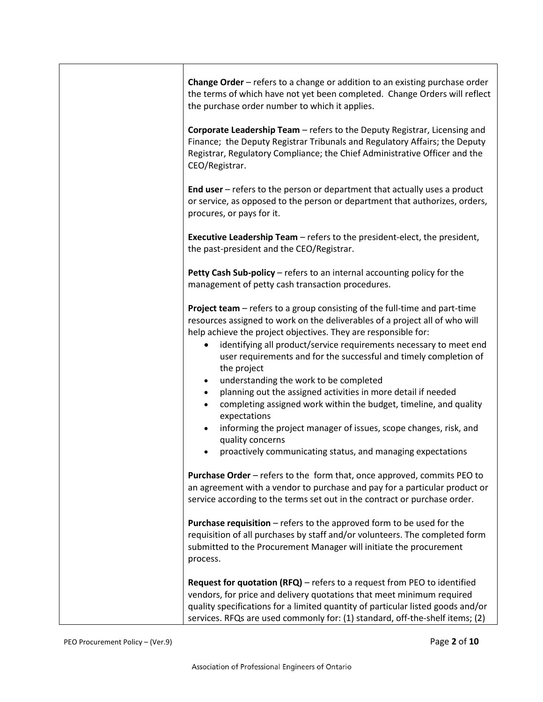| Change Order - refers to a change or addition to an existing purchase order<br>the terms of which have not yet been completed. Change Orders will reflect<br>the purchase order number to which it applies.                                                                                                                                                                                                                                                                                                                                                                                                                                                                                                                                                                          |
|--------------------------------------------------------------------------------------------------------------------------------------------------------------------------------------------------------------------------------------------------------------------------------------------------------------------------------------------------------------------------------------------------------------------------------------------------------------------------------------------------------------------------------------------------------------------------------------------------------------------------------------------------------------------------------------------------------------------------------------------------------------------------------------|
| Corporate Leadership Team - refers to the Deputy Registrar, Licensing and<br>Finance; the Deputy Registrar Tribunals and Regulatory Affairs; the Deputy<br>Registrar, Regulatory Compliance; the Chief Administrative Officer and the<br>CEO/Registrar.                                                                                                                                                                                                                                                                                                                                                                                                                                                                                                                              |
| End user $-$ refers to the person or department that actually uses a product<br>or service, as opposed to the person or department that authorizes, orders,<br>procures, or pays for it.                                                                                                                                                                                                                                                                                                                                                                                                                                                                                                                                                                                             |
| <b>Executive Leadership Team - refers to the president-elect, the president,</b><br>the past-president and the CEO/Registrar.                                                                                                                                                                                                                                                                                                                                                                                                                                                                                                                                                                                                                                                        |
| Petty Cash Sub-policy - refers to an internal accounting policy for the<br>management of petty cash transaction procedures.                                                                                                                                                                                                                                                                                                                                                                                                                                                                                                                                                                                                                                                          |
| Project team - refers to a group consisting of the full-time and part-time<br>resources assigned to work on the deliverables of a project all of who will<br>help achieve the project objectives. They are responsible for:<br>identifying all product/service requirements necessary to meet end<br>user requirements and for the successful and timely completion of<br>the project<br>understanding the work to be completed<br>$\bullet$<br>planning out the assigned activities in more detail if needed<br>$\bullet$<br>completing assigned work within the budget, timeline, and quality<br>$\bullet$<br>expectations<br>informing the project manager of issues, scope changes, risk, and<br>quality concerns<br>proactively communicating status, and managing expectations |
| <b>Purchase Order</b> – refers to the form that, once approved, commits PEO to<br>an agreement with a vendor to purchase and pay for a particular product or<br>service according to the terms set out in the contract or purchase order.                                                                                                                                                                                                                                                                                                                                                                                                                                                                                                                                            |
| <b>Purchase requisition</b> $-$ refers to the approved form to be used for the<br>requisition of all purchases by staff and/or volunteers. The completed form<br>submitted to the Procurement Manager will initiate the procurement<br>process.                                                                                                                                                                                                                                                                                                                                                                                                                                                                                                                                      |
| Request for quotation (RFQ) - refers to a request from PEO to identified<br>vendors, for price and delivery quotations that meet minimum required<br>quality specifications for a limited quantity of particular listed goods and/or<br>services. RFQs are used commonly for: (1) standard, off-the-shelf items; (2)                                                                                                                                                                                                                                                                                                                                                                                                                                                                 |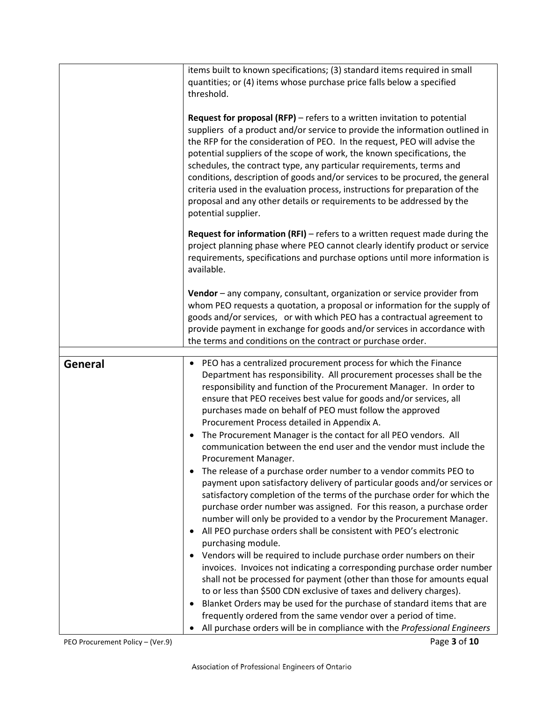|                | items built to known specifications; (3) standard items required in small<br>quantities; or (4) items whose purchase price falls below a specified<br>threshold.<br><b>Request for proposal (RFP)</b> $-$ refers to a written invitation to potential<br>suppliers of a product and/or service to provide the information outlined in<br>the RFP for the consideration of PEO. In the request, PEO will advise the<br>potential suppliers of the scope of work, the known specifications, the<br>schedules, the contract type, any particular requirements, terms and<br>conditions, description of goods and/or services to be procured, the general<br>criteria used in the evaluation process, instructions for preparation of the<br>proposal and any other details or requirements to be addressed by the<br>potential supplier. |
|----------------|---------------------------------------------------------------------------------------------------------------------------------------------------------------------------------------------------------------------------------------------------------------------------------------------------------------------------------------------------------------------------------------------------------------------------------------------------------------------------------------------------------------------------------------------------------------------------------------------------------------------------------------------------------------------------------------------------------------------------------------------------------------------------------------------------------------------------------------|
|                | <b>Request for information (RFI)</b> $-$ refers to a written request made during the<br>project planning phase where PEO cannot clearly identify product or service<br>requirements, specifications and purchase options until more information is<br>available.                                                                                                                                                                                                                                                                                                                                                                                                                                                                                                                                                                      |
|                | Vendor - any company, consultant, organization or service provider from<br>whom PEO requests a quotation, a proposal or information for the supply of<br>goods and/or services, or with which PEO has a contractual agreement to<br>provide payment in exchange for goods and/or services in accordance with<br>the terms and conditions on the contract or purchase order.                                                                                                                                                                                                                                                                                                                                                                                                                                                           |
|                |                                                                                                                                                                                                                                                                                                                                                                                                                                                                                                                                                                                                                                                                                                                                                                                                                                       |
| <b>General</b> | PEO has a centralized procurement process for which the Finance<br>Department has responsibility. All procurement processes shall be the<br>responsibility and function of the Procurement Manager. In order to<br>ensure that PEO receives best value for goods and/or services, all<br>purchases made on behalf of PEO must follow the approved<br>Procurement Process detailed in Appendix A.<br>The Procurement Manager is the contact for all PEO vendors. All<br>communication between the end user and the vendor must include the<br>Procurement Manager.                                                                                                                                                                                                                                                                     |
|                | The release of a purchase order number to a vendor commits PEO to<br>٠<br>payment upon satisfactory delivery of particular goods and/or services or<br>satisfactory completion of the terms of the purchase order for which the<br>purchase order number was assigned. For this reason, a purchase order<br>number will only be provided to a vendor by the Procurement Manager.<br>All PEO purchase orders shall be consistent with PEO's electronic<br>purchasing module.<br>Vendors will be required to include purchase order numbers on their<br>$\bullet$                                                                                                                                                                                                                                                                       |
|                | invoices. Invoices not indicating a corresponding purchase order number<br>shall not be processed for payment (other than those for amounts equal<br>to or less than \$500 CDN exclusive of taxes and delivery charges).<br>Blanket Orders may be used for the purchase of standard items that are<br>٠<br>frequently ordered from the same vendor over a period of time.<br>All purchase orders will be in compliance with the Professional Engineers                                                                                                                                                                                                                                                                                                                                                                                |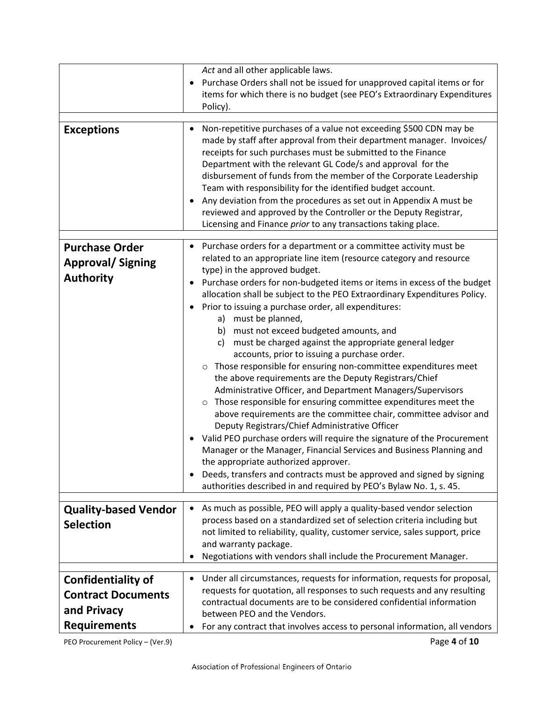| <b>Exceptions</b>                                                                            | Act and all other applicable laws.<br>Purchase Orders shall not be issued for unapproved capital items or for<br>$\bullet$<br>items for which there is no budget (see PEO's Extraordinary Expenditures<br>Policy).<br>Non-repetitive purchases of a value not exceeding \$500 CDN may be<br>made by staff after approval from their department manager. Invoices/<br>receipts for such purchases must be submitted to the Finance<br>Department with the relevant GL Code/s and approval for the<br>disbursement of funds from the member of the Corporate Leadership<br>Team with responsibility for the identified budget account.<br>Any deviation from the procedures as set out in Appendix A must be<br>$\bullet$<br>reviewed and approved by the Controller or the Deputy Registrar,<br>Licensing and Finance prior to any transactions taking place.                                                                                                                                                                                                                                                                                                                                                                                                                                                                                                |
|----------------------------------------------------------------------------------------------|-------------------------------------------------------------------------------------------------------------------------------------------------------------------------------------------------------------------------------------------------------------------------------------------------------------------------------------------------------------------------------------------------------------------------------------------------------------------------------------------------------------------------------------------------------------------------------------------------------------------------------------------------------------------------------------------------------------------------------------------------------------------------------------------------------------------------------------------------------------------------------------------------------------------------------------------------------------------------------------------------------------------------------------------------------------------------------------------------------------------------------------------------------------------------------------------------------------------------------------------------------------------------------------------------------------------------------------------------------------|
| <b>Purchase Order</b><br><b>Approval/Signing</b><br><b>Authority</b>                         | Purchase orders for a department or a committee activity must be<br>related to an appropriate line item (resource category and resource<br>type) in the approved budget.<br>Purchase orders for non-budgeted items or items in excess of the budget<br>$\bullet$<br>allocation shall be subject to the PEO Extraordinary Expenditures Policy.<br>Prior to issuing a purchase order, all expenditures:<br>must be planned,<br>a)<br>must not exceed budgeted amounts, and<br>b)<br>must be charged against the appropriate general ledger<br>C)<br>accounts, prior to issuing a purchase order.<br>Those responsible for ensuring non-committee expenditures meet<br>$\circ$<br>the above requirements are the Deputy Registrars/Chief<br>Administrative Officer, and Department Managers/Supervisors<br>o Those responsible for ensuring committee expenditures meet the<br>above requirements are the committee chair, committee advisor and<br>Deputy Registrars/Chief Administrative Officer<br>Valid PEO purchase orders will require the signature of the Procurement<br>٠<br>Manager or the Manager, Financial Services and Business Planning and<br>the appropriate authorized approver.<br>Deeds, transfers and contracts must be approved and signed by signing<br>$\bullet$<br>authorities described in and required by PEO's Bylaw No. 1, s. 45. |
| <b>Quality-based Vendor</b><br><b>Selection</b>                                              | As much as possible, PEO will apply a quality-based vendor selection<br>$\bullet$<br>process based on a standardized set of selection criteria including but<br>not limited to reliability, quality, customer service, sales support, price<br>and warranty package.<br>Negotiations with vendors shall include the Procurement Manager.                                                                                                                                                                                                                                                                                                                                                                                                                                                                                                                                                                                                                                                                                                                                                                                                                                                                                                                                                                                                                    |
| <b>Confidentiality of</b><br><b>Contract Documents</b><br>and Privacy<br><b>Requirements</b> | Under all circumstances, requests for information, requests for proposal,<br>٠<br>requests for quotation, all responses to such requests and any resulting<br>contractual documents are to be considered confidential information<br>between PEO and the Vendors.<br>For any contract that involves access to personal information, all vendors                                                                                                                                                                                                                                                                                                                                                                                                                                                                                                                                                                                                                                                                                                                                                                                                                                                                                                                                                                                                             |

PEO Procurement Policy – (Ver.9) **Page 4 of 10**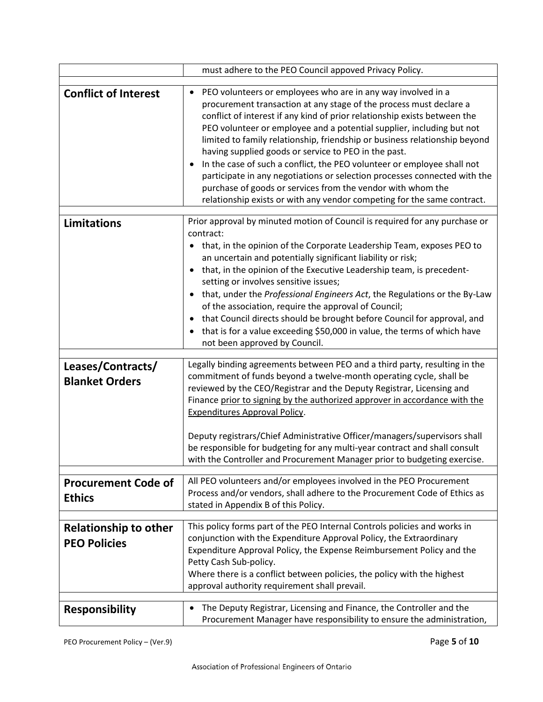|                                                                     | must adhere to the PEO Council appoved Privacy Policy.                                                                                                                                                                                                                                                                                                                                                                                                                                                                                                                                                                                                                                                                           |
|---------------------------------------------------------------------|----------------------------------------------------------------------------------------------------------------------------------------------------------------------------------------------------------------------------------------------------------------------------------------------------------------------------------------------------------------------------------------------------------------------------------------------------------------------------------------------------------------------------------------------------------------------------------------------------------------------------------------------------------------------------------------------------------------------------------|
|                                                                     |                                                                                                                                                                                                                                                                                                                                                                                                                                                                                                                                                                                                                                                                                                                                  |
| <b>Conflict of Interest</b>                                         | PEO volunteers or employees who are in any way involved in a<br>procurement transaction at any stage of the process must declare a<br>conflict of interest if any kind of prior relationship exists between the<br>PEO volunteer or employee and a potential supplier, including but not<br>limited to family relationship, friendship or business relationship beyond<br>having supplied goods or service to PEO in the past.<br>In the case of such a conflict, the PEO volunteer or employee shall not<br>participate in any negotiations or selection processes connected with the<br>purchase of goods or services from the vendor with whom the<br>relationship exists or with any vendor competing for the same contract. |
| <b>Limitations</b>                                                  | Prior approval by minuted motion of Council is required for any purchase or                                                                                                                                                                                                                                                                                                                                                                                                                                                                                                                                                                                                                                                      |
|                                                                     | contract:                                                                                                                                                                                                                                                                                                                                                                                                                                                                                                                                                                                                                                                                                                                        |
|                                                                     | that, in the opinion of the Corporate Leadership Team, exposes PEO to                                                                                                                                                                                                                                                                                                                                                                                                                                                                                                                                                                                                                                                            |
|                                                                     | an uncertain and potentially significant liability or risk;                                                                                                                                                                                                                                                                                                                                                                                                                                                                                                                                                                                                                                                                      |
|                                                                     | that, in the opinion of the Executive Leadership team, is precedent-<br>setting or involves sensitive issues;                                                                                                                                                                                                                                                                                                                                                                                                                                                                                                                                                                                                                    |
|                                                                     | that, under the Professional Engineers Act, the Regulations or the By-Law                                                                                                                                                                                                                                                                                                                                                                                                                                                                                                                                                                                                                                                        |
|                                                                     | of the association, require the approval of Council;                                                                                                                                                                                                                                                                                                                                                                                                                                                                                                                                                                                                                                                                             |
|                                                                     | that Council directs should be brought before Council for approval, and                                                                                                                                                                                                                                                                                                                                                                                                                                                                                                                                                                                                                                                          |
|                                                                     | that is for a value exceeding \$50,000 in value, the terms of which have                                                                                                                                                                                                                                                                                                                                                                                                                                                                                                                                                                                                                                                         |
|                                                                     | not been approved by Council.                                                                                                                                                                                                                                                                                                                                                                                                                                                                                                                                                                                                                                                                                                    |
| Leases/Contracts/                                                   | Legally binding agreements between PEO and a third party, resulting in the                                                                                                                                                                                                                                                                                                                                                                                                                                                                                                                                                                                                                                                       |
| <b>Blanket Orders</b>                                               | commitment of funds beyond a twelve-month operating cycle, shall be                                                                                                                                                                                                                                                                                                                                                                                                                                                                                                                                                                                                                                                              |
|                                                                     | reviewed by the CEO/Registrar and the Deputy Registrar, Licensing and<br>Finance prior to signing by the authorized approver in accordance with the                                                                                                                                                                                                                                                                                                                                                                                                                                                                                                                                                                              |
|                                                                     | <b>Expenditures Approval Policy.</b>                                                                                                                                                                                                                                                                                                                                                                                                                                                                                                                                                                                                                                                                                             |
|                                                                     |                                                                                                                                                                                                                                                                                                                                                                                                                                                                                                                                                                                                                                                                                                                                  |
|                                                                     | Deputy registrars/Chief Administrative Officer/managers/supervisors shall<br>be responsible for budgeting for any multi-year contract and shall consult                                                                                                                                                                                                                                                                                                                                                                                                                                                                                                                                                                          |
|                                                                     | with the Controller and Procurement Manager prior to budgeting exercise.                                                                                                                                                                                                                                                                                                                                                                                                                                                                                                                                                                                                                                                         |
|                                                                     |                                                                                                                                                                                                                                                                                                                                                                                                                                                                                                                                                                                                                                                                                                                                  |
| <b>Procurement Code of</b>                                          | All PEO volunteers and/or employees involved in the PEO Procurement                                                                                                                                                                                                                                                                                                                                                                                                                                                                                                                                                                                                                                                              |
| <b>Ethics</b>                                                       | Process and/or vendors, shall adhere to the Procurement Code of Ethics as<br>stated in Appendix B of this Policy.                                                                                                                                                                                                                                                                                                                                                                                                                                                                                                                                                                                                                |
|                                                                     |                                                                                                                                                                                                                                                                                                                                                                                                                                                                                                                                                                                                                                                                                                                                  |
| <b>Relationship to other</b>                                        | This policy forms part of the PEO Internal Controls policies and works in                                                                                                                                                                                                                                                                                                                                                                                                                                                                                                                                                                                                                                                        |
| <b>PEO Policies</b>                                                 | conjunction with the Expenditure Approval Policy, the Extraordinary<br>Expenditure Approval Policy, the Expense Reimbursement Policy and the                                                                                                                                                                                                                                                                                                                                                                                                                                                                                                                                                                                     |
|                                                                     | Petty Cash Sub-policy.                                                                                                                                                                                                                                                                                                                                                                                                                                                                                                                                                                                                                                                                                                           |
|                                                                     | Where there is a conflict between policies, the policy with the highest                                                                                                                                                                                                                                                                                                                                                                                                                                                                                                                                                                                                                                                          |
|                                                                     | approval authority requirement shall prevail.                                                                                                                                                                                                                                                                                                                                                                                                                                                                                                                                                                                                                                                                                    |
| The Deputy Registrar, Licensing and Finance, the Controller and the |                                                                                                                                                                                                                                                                                                                                                                                                                                                                                                                                                                                                                                                                                                                                  |
| <b>Responsibility</b>                                               | Procurement Manager have responsibility to ensure the administration,                                                                                                                                                                                                                                                                                                                                                                                                                                                                                                                                                                                                                                                            |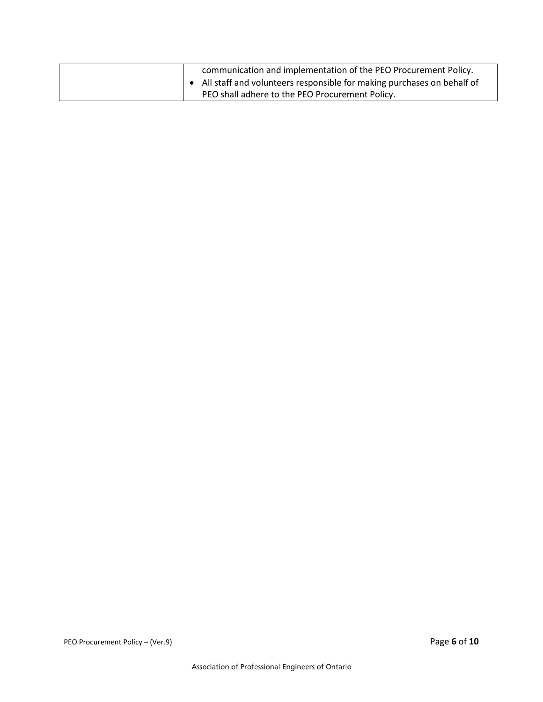| communication and implementation of the PEO Procurement Policy.<br>$\bullet$ All staff and volunteers responsible for making purchases on behalf of |
|-----------------------------------------------------------------------------------------------------------------------------------------------------|
| PEO shall adhere to the PEO Procurement Policy.                                                                                                     |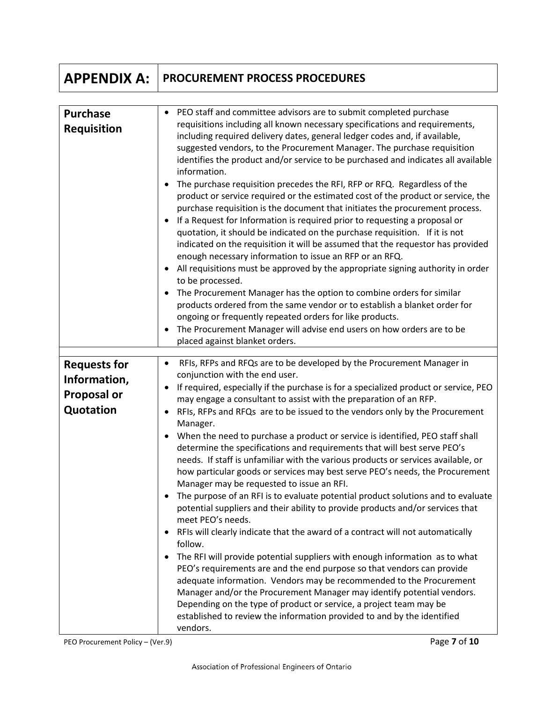## **APPENDIX A: PROCUREMENT PROCESS PROCEDURES**

| <b>Purchase</b><br><b>Requisition</b> | PEO staff and committee advisors are to submit completed purchase<br>requisitions including all known necessary specifications and requirements,<br>including required delivery dates, general ledger codes and, if available,<br>suggested vendors, to the Procurement Manager. The purchase requisition<br>identifies the product and/or service to be purchased and indicates all available<br>information.<br>The purchase requisition precedes the RFI, RFP or RFQ. Regardless of the<br>٠<br>product or service required or the estimated cost of the product or service, the<br>purchase requisition is the document that initiates the procurement process.<br>If a Request for Information is required prior to requesting a proposal or<br>٠<br>quotation, it should be indicated on the purchase requisition. If it is not<br>indicated on the requisition it will be assumed that the requestor has provided<br>enough necessary information to issue an RFP or an RFQ.<br>All requisitions must be approved by the appropriate signing authority in order<br>$\bullet$<br>to be processed.<br>The Procurement Manager has the option to combine orders for similar<br>٠<br>products ordered from the same vendor or to establish a blanket order for<br>ongoing or frequently repeated orders for like products.<br>The Procurement Manager will advise end users on how orders are to be<br>$\bullet$<br>placed against blanket orders. |
|---------------------------------------|-------------------------------------------------------------------------------------------------------------------------------------------------------------------------------------------------------------------------------------------------------------------------------------------------------------------------------------------------------------------------------------------------------------------------------------------------------------------------------------------------------------------------------------------------------------------------------------------------------------------------------------------------------------------------------------------------------------------------------------------------------------------------------------------------------------------------------------------------------------------------------------------------------------------------------------------------------------------------------------------------------------------------------------------------------------------------------------------------------------------------------------------------------------------------------------------------------------------------------------------------------------------------------------------------------------------------------------------------------------------------------------------------------------------------------------------------------|
| <b>Requests for</b><br>Information,   | RFIs, RFPs and RFQs are to be developed by the Procurement Manager in<br>٠<br>conjunction with the end user.                                                                                                                                                                                                                                                                                                                                                                                                                                                                                                                                                                                                                                                                                                                                                                                                                                                                                                                                                                                                                                                                                                                                                                                                                                                                                                                                          |
| <b>Proposal or</b>                    | If required, especially if the purchase is for a specialized product or service, PEO<br>$\bullet$<br>may engage a consultant to assist with the preparation of an RFP.                                                                                                                                                                                                                                                                                                                                                                                                                                                                                                                                                                                                                                                                                                                                                                                                                                                                                                                                                                                                                                                                                                                                                                                                                                                                                |
| Quotation                             | RFIs, RFPs and RFQs are to be issued to the vendors only by the Procurement<br>٠<br>Manager.                                                                                                                                                                                                                                                                                                                                                                                                                                                                                                                                                                                                                                                                                                                                                                                                                                                                                                                                                                                                                                                                                                                                                                                                                                                                                                                                                          |
|                                       | When the need to purchase a product or service is identified, PEO staff shall<br>$\bullet$<br>determine the specifications and requirements that will best serve PEO's<br>needs. If staff is unfamiliar with the various products or services available, or                                                                                                                                                                                                                                                                                                                                                                                                                                                                                                                                                                                                                                                                                                                                                                                                                                                                                                                                                                                                                                                                                                                                                                                           |
|                                       | how particular goods or services may best serve PEO's needs, the Procurement<br>Manager may be requested to issue an RFI.                                                                                                                                                                                                                                                                                                                                                                                                                                                                                                                                                                                                                                                                                                                                                                                                                                                                                                                                                                                                                                                                                                                                                                                                                                                                                                                             |
|                                       | The purpose of an RFI is to evaluate potential product solutions and to evaluate<br>potential suppliers and their ability to provide products and/or services that<br>meet PEO's needs.                                                                                                                                                                                                                                                                                                                                                                                                                                                                                                                                                                                                                                                                                                                                                                                                                                                                                                                                                                                                                                                                                                                                                                                                                                                               |
|                                       | RFIs will clearly indicate that the award of a contract will not automatically<br>٠<br>follow.                                                                                                                                                                                                                                                                                                                                                                                                                                                                                                                                                                                                                                                                                                                                                                                                                                                                                                                                                                                                                                                                                                                                                                                                                                                                                                                                                        |
|                                       | The RFI will provide potential suppliers with enough information as to what<br>٠<br>PEO's requirements are and the end purpose so that vendors can provide<br>adequate information. Vendors may be recommended to the Procurement<br>Manager and/or the Procurement Manager may identify potential vendors.<br>Depending on the type of product or service, a project team may be<br>established to review the information provided to and by the identified<br>vendors.                                                                                                                                                                                                                                                                                                                                                                                                                                                                                                                                                                                                                                                                                                                                                                                                                                                                                                                                                                              |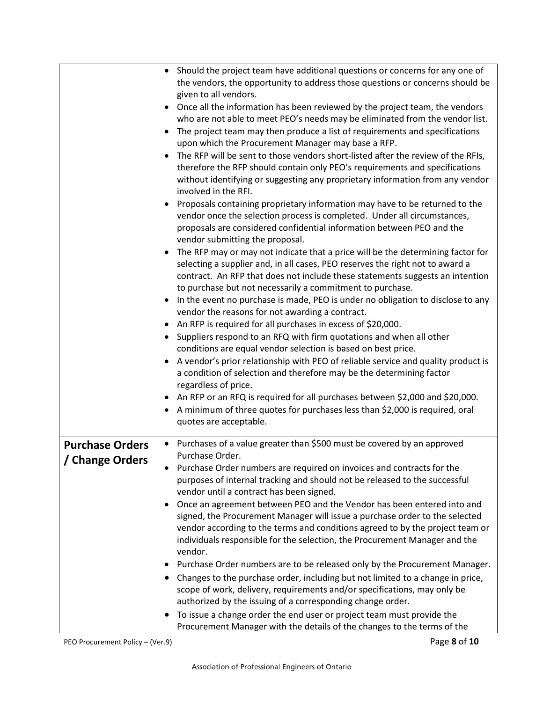|                                           | Should the project team have additional questions or concerns for any one of<br>the vendors, the opportunity to address those questions or concerns should be<br>given to all vendors.<br>Once all the information has been reviewed by the project team, the vendors<br>who are not able to meet PEO's needs may be eliminated from the vendor list.<br>The project team may then produce a list of requirements and specifications<br>$\bullet$<br>upon which the Procurement Manager may base a RFP.<br>The RFP will be sent to those vendors short-listed after the review of the RFIs,<br>therefore the RFP should contain only PEO's requirements and specifications<br>without identifying or suggesting any proprietary information from any vendor<br>involved in the RFI.<br>Proposals containing proprietary information may have to be returned to the<br>vendor once the selection process is completed. Under all circumstances,<br>proposals are considered confidential information between PEO and the<br>vendor submitting the proposal.<br>The RFP may or may not indicate that a price will be the determining factor for<br>$\bullet$<br>selecting a supplier and, in all cases, PEO reserves the right not to award a<br>contract. An RFP that does not include these statements suggests an intention<br>to purchase but not necessarily a commitment to purchase.<br>• In the event no purchase is made, PEO is under no obligation to disclose to any<br>vendor the reasons for not awarding a contract.<br>An RFP is required for all purchases in excess of \$20,000.<br>Suppliers respond to an RFQ with firm quotations and when all other<br>conditions are equal vendor selection is based on best price.<br>A vendor's prior relationship with PEO of reliable service and quality product is<br>a condition of selection and therefore may be the determining factor<br>regardless of price.<br>An RFP or an RFQ is required for all purchases between \$2,000 and \$20,000.<br>$\bullet$<br>A minimum of three quotes for purchases less than \$2,000 is required, oral |
|-------------------------------------------|-----------------------------------------------------------------------------------------------------------------------------------------------------------------------------------------------------------------------------------------------------------------------------------------------------------------------------------------------------------------------------------------------------------------------------------------------------------------------------------------------------------------------------------------------------------------------------------------------------------------------------------------------------------------------------------------------------------------------------------------------------------------------------------------------------------------------------------------------------------------------------------------------------------------------------------------------------------------------------------------------------------------------------------------------------------------------------------------------------------------------------------------------------------------------------------------------------------------------------------------------------------------------------------------------------------------------------------------------------------------------------------------------------------------------------------------------------------------------------------------------------------------------------------------------------------------------------------------------------------------------------------------------------------------------------------------------------------------------------------------------------------------------------------------------------------------------------------------------------------------------------------------------------------------------------------------------------------------------------------------------------------------------------------------------------------------------------------------------------------|
|                                           | quotes are acceptable.                                                                                                                                                                                                                                                                                                                                                                                                                                                                                                                                                                                                                                                                                                                                                                                                                                                                                                                                                                                                                                                                                                                                                                                                                                                                                                                                                                                                                                                                                                                                                                                                                                                                                                                                                                                                                                                                                                                                                                                                                                                                                    |
| <b>Purchase Orders</b><br>/ Change Orders | Purchases of a value greater than \$500 must be covered by an approved<br>$\bullet$<br>Purchase Order.<br>Purchase Order numbers are required on invoices and contracts for the<br>purposes of internal tracking and should not be released to the successful<br>vendor until a contract has been signed.<br>Once an agreement between PEO and the Vendor has been entered into and<br>signed, the Procurement Manager will issue a purchase order to the selected<br>vendor according to the terms and conditions agreed to by the project team or<br>individuals responsible for the selection, the Procurement Manager and the<br>vendor.<br>Purchase Order numbers are to be released only by the Procurement Manager.<br>Changes to the purchase order, including but not limited to a change in price,<br>scope of work, delivery, requirements and/or specifications, may only be<br>authorized by the issuing of a corresponding change order.<br>To issue a change order the end user or project team must provide the<br>$\bullet$<br>Procurement Manager with the details of the changes to the terms of the                                                                                                                                                                                                                                                                                                                                                                                                                                                                                                                                                                                                                                                                                                                                                                                                                                                                                                                                                                                   |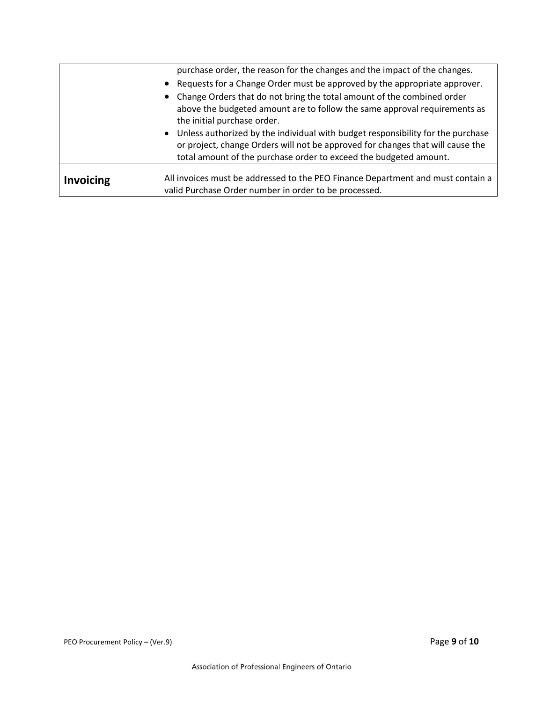|                  | purchase order, the reason for the changes and the impact of the changes.                                                                                                                                                                                                                                                                                                                                                         |
|------------------|-----------------------------------------------------------------------------------------------------------------------------------------------------------------------------------------------------------------------------------------------------------------------------------------------------------------------------------------------------------------------------------------------------------------------------------|
|                  | Requests for a Change Order must be approved by the appropriate approver.<br>$\bullet$                                                                                                                                                                                                                                                                                                                                            |
|                  | Change Orders that do not bring the total amount of the combined order<br>above the budgeted amount are to follow the same approval requirements as<br>the initial purchase order.<br>Unless authorized by the individual with budget responsibility for the purchase<br>٠<br>or project, change Orders will not be approved for changes that will cause the<br>total amount of the purchase order to exceed the budgeted amount. |
|                  |                                                                                                                                                                                                                                                                                                                                                                                                                                   |
| <b>Invoicing</b> | All invoices must be addressed to the PEO Finance Department and must contain a                                                                                                                                                                                                                                                                                                                                                   |
|                  | valid Purchase Order number in order to be processed.                                                                                                                                                                                                                                                                                                                                                                             |